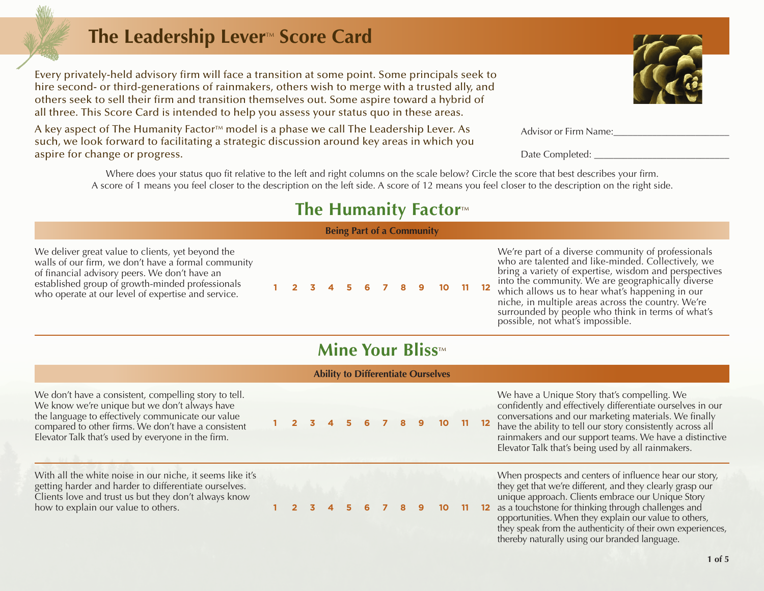# **The Leadership Lever<sup>™</sup> Score Card**

Every privately-held advisory firm will face a transition at some point. Some principals seek to hire second- or third-generations of rainmakers, others wish to merge with a trusted ally, and others seek to sell their firm and transition themselves out. Some aspire toward a hybrid of all three. This Score Card is intended to help you assess your status quo in these areas.

A key aspect of The Humanity Factor™ model is a phase we call The Leadership Lever. As such, we look forward to facilitating a strategic discussion around key areas in which you aspire for change or progress.

> Where does your status quo fit relative to the left and right columns on the scale below? Circle the score that best describes your firm. A score of 1 means you feel closer to the description on the left side. A score of 12 means you feel closer to the description on the right side.

## **The Humanity Factor**<sup>™</sup>

**Being Part of a Community**

We deliver great value to clients, yet beyond the walls of our firm, we don't have a formal community of financial advisory peers. We don't have an established group of growth-minded professionals established group of growth-minded professionals<br>who operate at our level of expertise and service. **1 2 3 4 5 6 7 8 9 10 11 12** 

We're part of a diverse community of professionals who are talented and like-minded. Collectively, we bring a variety of expertise, wisdom and perspectives into the community. We are geographically diverse which allows us to hear what's happening in our niche, in multiple areas across the country. We're surrounded by people who think in terms of what's

## **Mine Vous Blisson**

| <b>MINE YOUR BIISS™</b>                                                                                                                                                                                                                                                  |  |  |  |  |   |   |  |   |  |                 |    |                   |                                                                                                                                                                                                                                                                                                                                                         |  |
|--------------------------------------------------------------------------------------------------------------------------------------------------------------------------------------------------------------------------------------------------------------------------|--|--|--|--|---|---|--|---|--|-----------------|----|-------------------|---------------------------------------------------------------------------------------------------------------------------------------------------------------------------------------------------------------------------------------------------------------------------------------------------------------------------------------------------------|--|
| <b>Ability to Differentiate Ourselves</b>                                                                                                                                                                                                                                |  |  |  |  |   |   |  |   |  |                 |    |                   |                                                                                                                                                                                                                                                                                                                                                         |  |
| We don't have a consistent, compelling story to tell.<br>We know we're unique but we don't always have<br>the language to effectively communicate our value<br>compared to other firms. We don't have a consistent<br>Elevator Talk that's used by everyone in the firm. |  |  |  |  | 5 | 6 |  | 8 |  | 10 <sup>°</sup> | 11 | 12                | We have a Unique Story that's compelling. We<br>confidently and effectively differentiate ourselves in our<br>conversations and our marketing materials. We finally<br>have the ability to tell our story consistently across all<br>rainmakers and our support teams. We have a distinctive<br>Elevator Talk that's being used by all rainmakers.      |  |
| With all the white noise in our niche, it seems like it's<br>getting harder and harder to differentiate ourselves.<br>Clients love and trust us but they don't always know<br>how to explain our value to others.                                                        |  |  |  |  |   |   |  |   |  | 10 <sup>2</sup> | 11 | $12 \overline{ }$ | When prospects and centers of influence hear our story,<br>they get that we're different, and they clearly grasp our<br>unique approach. Clients embrace our Unique Story<br>as a touchstone for thinking through challenges and<br>opportunities. When they explain our value to others,<br>they speak from the authenticity of their own experiences, |  |



| Advisor or Firm Name: |
|-----------------------|
|-----------------------|

Date Completed:

possible, not what's impossible.

thereby naturally using our branded language.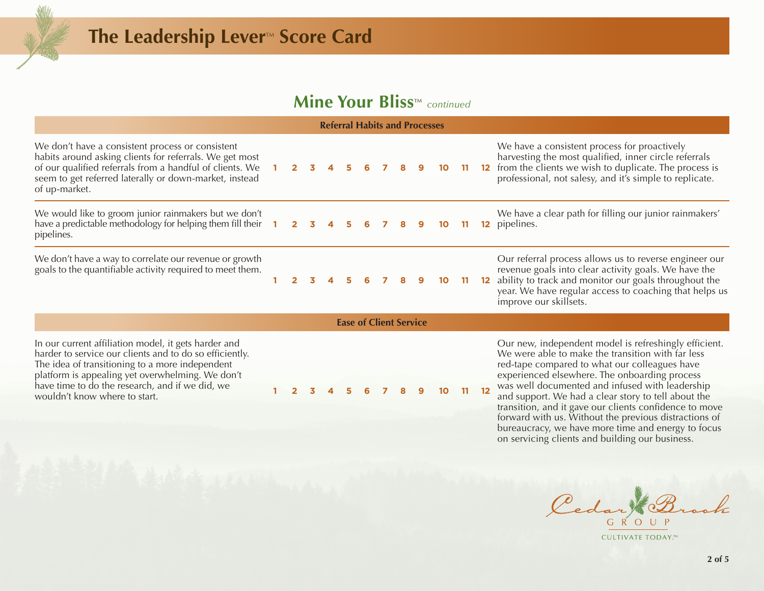### **Mine Your Bliss**™ *continued*

| <b>Referral Habits and Processes</b>                                                                                                                                                                                                                 |  |                |    |  |      |   |     |   |              |                 |  |     |                                                                                                                                                                                                                                                                        |
|------------------------------------------------------------------------------------------------------------------------------------------------------------------------------------------------------------------------------------------------------|--|----------------|----|--|------|---|-----|---|--------------|-----------------|--|-----|------------------------------------------------------------------------------------------------------------------------------------------------------------------------------------------------------------------------------------------------------------------------|
| We don't have a consistent process or consistent<br>habits around asking clients for referrals. We get most<br>of our qualified referrals from a handful of clients. We 1<br>seem to get referred laterally or down-market, instead<br>of up-market. |  | $2^{\circ}$    | 3. |  |      |   |     |   |              | 10 <sup>°</sup> |  |     | We have a consistent process for proactively<br>harvesting the most qualified, inner circle referrals<br>12 from the clients we wish to duplicate. The process is<br>professional, not salesy, and it's simple to replicate.                                           |
| We would like to groom junior rainmakers but we don't<br>have a predictable methodology for helping them fill their $\begin{array}{cccc} 1 & 2 & 3 & 4 & 5 & 6 \end{array}$<br>pipelines.                                                            |  |                |    |  |      |   | 7 8 |   | 9            | 10 <sup>°</sup> |  | -11 | We have a clear path for filling our junior rainmakers'<br>pipelines.<br>$12 \overline{ }$                                                                                                                                                                             |
| We don't have a way to correlate our revenue or growth<br>goals to the quantifiable activity required to meet them.                                                                                                                                  |  | $\mathbf{2}^-$ | К  |  | - 51 | 6 |     | 8 | $\mathbf{Q}$ | 10 <sup>°</sup> |  |     | Our referral process allows us to reverse engineer our<br>revenue goals into clear activity goals. We have the<br>ability to track and monitor our goals throughout the<br>$12 \,$<br>year. We have regular access to coaching that helps us<br>improve our skillsets. |

In our current affiliation model, it gets harder and harder to service our clients and to do so efficiently. The idea of transitioning to a more independent platform is appealing yet overwhelming. We don't have time to do the research, and if we did, we wouldn't know where to start. **1 2 3 4 5 6 7 8 9 10 11 12**

**Ease of Client Service**

Our new, independent model is refreshingly efficient. We were able to make the transition with far less red-tape compared to what our colleagues have experienced elsewhere. The onboarding process was well documented and infused with leadership and support. We had a clear story to tell about the transition, and it gave our clients confidence to move forward with us. Without the previous distractions of bureaucracy, we have more time and energy to focus on servicing clients and building our business.

Cedar  $G \R$   $O$ 

CULTIVATE TODAY.™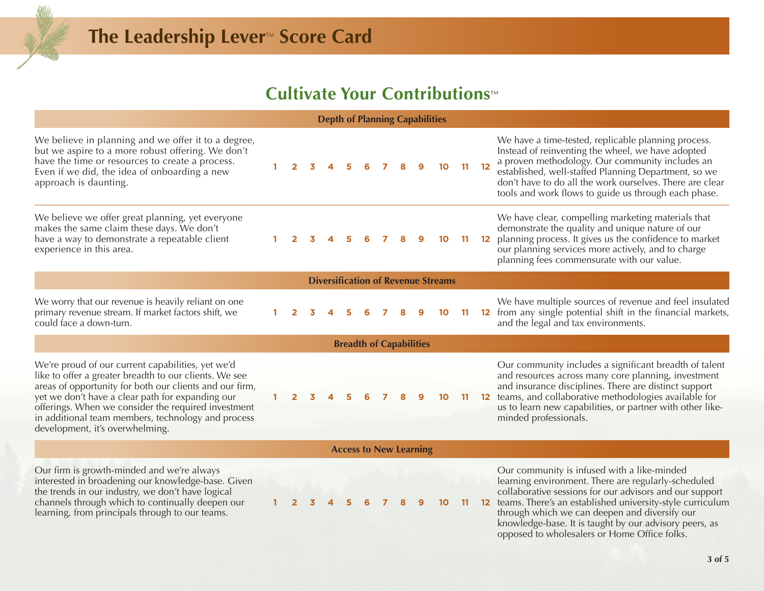## **Cultivate Your Contributions™**

### **Depth of Planning Capabilities**

| We believe in planning and we offer it to a degree,<br>but we aspire to a more robust offering. We don't<br>have the time or resources to create a process.<br>Even if we did, the idea of onboarding a new<br>approach is daunting.                                                                                                                                       |  |  |  |  |  |  |  |  |  | 10 |    | $11 12$           | We have a time-tested, replicable planning process.<br>Instead of reinventing the wheel, we have adopted<br>a proven methodology. Our community includes an<br>established, well-staffed Planning Department, so we<br>don't have to do all the work ourselves. There are clear<br>tools and work flows to guide us through each phase. |
|----------------------------------------------------------------------------------------------------------------------------------------------------------------------------------------------------------------------------------------------------------------------------------------------------------------------------------------------------------------------------|--|--|--|--|--|--|--|--|--|----|----|-------------------|-----------------------------------------------------------------------------------------------------------------------------------------------------------------------------------------------------------------------------------------------------------------------------------------------------------------------------------------|
| We believe we offer great planning, yet everyone<br>makes the same claim these days. We don't<br>have a way to demonstrate a repeatable client<br>experience in this area.                                                                                                                                                                                                 |  |  |  |  |  |  |  |  |  |    |    | 12                | We have clear, compelling marketing materials that<br>demonstrate the quality and unique nature of our<br>planning process. It gives us the confidence to market<br>our planning services more actively, and to charge<br>planning fees commensurate with our value.                                                                    |
| <b>Diversification of Revenue Streams</b>                                                                                                                                                                                                                                                                                                                                  |  |  |  |  |  |  |  |  |  |    |    |                   |                                                                                                                                                                                                                                                                                                                                         |
| We worry that our revenue is heavily reliant on one<br>primary revenue stream. If market factors shift, we<br>could face a down-turn.                                                                                                                                                                                                                                      |  |  |  |  |  |  |  |  |  | 10 |    | $12 \overline{ }$ | We have multiple sources of revenue and feel insulated<br>from any single potential shift in the financial markets,<br>and the legal and tax environments.                                                                                                                                                                              |
| <b>Breadth of Capabilities</b>                                                                                                                                                                                                                                                                                                                                             |  |  |  |  |  |  |  |  |  |    |    |                   |                                                                                                                                                                                                                                                                                                                                         |
| We're proud of our current capabilities, yet we'd<br>like to offer a greater breadth to our clients. We see<br>areas of opportunity for both our clients and our firm,<br>yet we don't have a clear path for expanding our<br>offerings. When we consider the required investment<br>in additional team members, technology and process<br>development, it's overwhelming. |  |  |  |  |  |  |  |  |  |    |    | $12 \overline{ }$ | Our community includes a significant breadth of talent<br>and resources across many core planning, investment<br>and insurance disciplines. There are distinct support<br>teams, and collaborative methodologies available for<br>us to learn new capabilities, or partner with other like-<br>minded professionals.                    |
| <b>Access to New Learning</b>                                                                                                                                                                                                                                                                                                                                              |  |  |  |  |  |  |  |  |  |    |    |                   |                                                                                                                                                                                                                                                                                                                                         |
| Our firm is growth-minded and we're always<br>interested in broadening our knowledge-base. Given<br>the trends in our industry, we don't have logical<br>channels through which to continually deepen our<br>learning, from principals through to our teams.                                                                                                               |  |  |  |  |  |  |  |  |  | 10 | 11 | 12                | Our community is infused with a like-minded<br>learning environment. There are regularly-scheduled<br>collaborative sessions for our advisors and our support<br>teams. There's an established university-style curriculum<br>through which we can deepen and diversify our                                                             |

knowledge-base. It is taught by our advisory peers, as opposed to wholesalers or Home Office folks.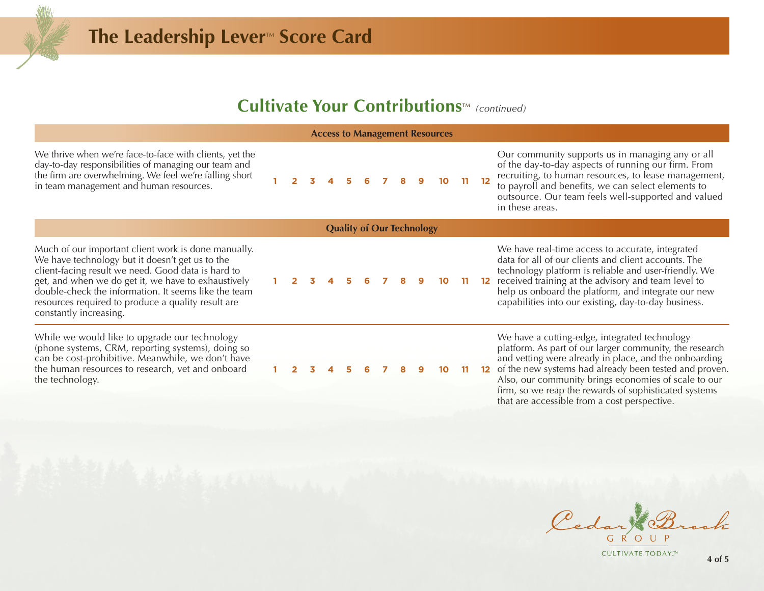### **Cultivate Your Contributions**™ (continued)

#### **Access to Management Resources**

We thrive when we're face-to-face with clients, yet the day-to-day responsibilities of managing our team and the firm are overwhelming. We feel we're falling short in team management and human resources.<br>in team management and human resources.

Our community supports us in managing any or all of the day-to-day aspects of running our firm. From recruiting, to human resources, to lease management, to payroll and benefits, we can select elements to outsource. Our team feels well-supported and valued in these areas.

Much of our important client work is done manually. We have technology but it doesn't get us to the client-facing result we need. Good data is hard to get, and when we do get it, we have to exhaustively double-check the information. It seems like the team resources required to produce a quality result are constantly increasing.

While we would like to upgrade our technology (phone systems, CRM, reporting systems), doing so can be cost-prohibitive. Meanwhile, we don't have the human resources to research, vet and onboard the technology.

**10 11 12** 

**Quality of Our Technology**

**1 2 3 4 5 6 7 8 9 10 11 12**

technology platform is reliable and user-friendly. We received training at the advisory and team level to help us onboard the platform, and integrate our new capabilities into our existing, day-to-day business.

We have real-time access to accurate, integrated data for all of our clients and client accounts. The

We have a cutting-edge, integrated technology platform. As part of our larger community, the research and vetting were already in place, and the onboarding of the new systems had already been tested and proven. Also, our community brings economies of scale to our firm, so we reap the rewards of sophisticated systems that are accessible from a cost perspective.

Cedar te